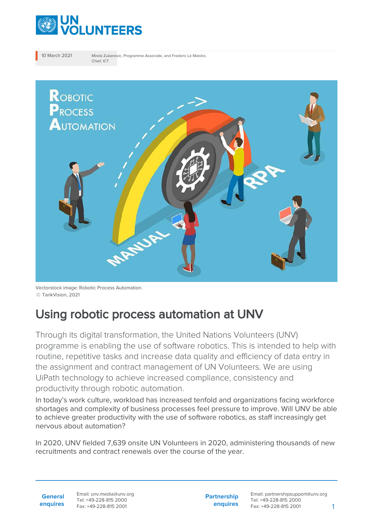

10 March 2021 Mirela Zukanovic, Programme Associate, and Frederic Le Maistre, Chief, ICT



Vectorstock image: Robotic Process Automation. © TarikVision, 2021

## Using robotic process automation at UNV

Through its digital transformation, the United Nations Volunteers (UNV) programme is enabling the use of software robotics. This is intended to help with routine, repetitive tasks and increase data quality and efficiency of data entry in the assignment and contract management of UN Volunteers. We are using UiPath technology to achieve increased compliance, consistency and productivity through robotic automation.

In today's work culture, workload has increased tenfold and organizations facing workforce shortages and complexity of business processes feel pressure to improve. Will UNV be able to achieve greater productivity with the use of software robotics, as staff increasingly get nervous about automation?

In 2020, UNV fielded 7,639 onsite UN Volunteers in 2020, administering thousands of new recruitments and contract renewals over the course of the year.

**General enquires** Email: unv.media@unv.org Tel: +49-228-815 2000 Fax: +49-228-815 2001

**Partnership enquires**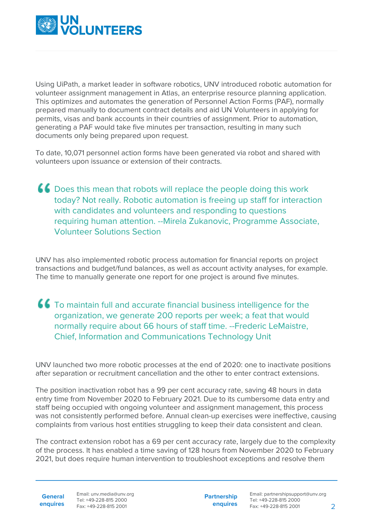

Using UiPath, a market leader in software robotics, UNV introduced robotic automation for volunteer assignment management in Atlas, an enterprise resource planning application. This optimizes and automates the generation of Personnel Action Forms (PAF), normally prepared manually to document contract details and aid UN Volunteers in applying for permits, visas and bank accounts in their countries of assignment. Prior to automation, generating a PAF would take five minutes per transaction, resulting in many such documents only being prepared upon request.

To date, 10,071 personnel action forms have been generated via robot and shared with volunteers upon issuance or extension of their contracts.

Does this mean that robots will replace the people doing this work today? Not really. Robotic automation is freeing up staff for interaction with candidates and volunteers and responding to questions requiring human attention. --Mirela Zukanovic, Programme Associate, Volunteer Solutions Section

UNV has also implemented robotic process automation for financial reports on project transactions and budget/fund balances, as well as account activity analyses, for example. The time to manually generate one report for one project is around five minutes.

To maintain full and accurate financial business intelligence for the organization, we generate 200 reports per week; a feat that would normally require about 66 hours of staff time. --Frederic LeMaistre, Chief, Information and Communications Technology Unit

UNV launched two more robotic processes at the end of 2020: one to inactivate positions after separation or recruitment cancellation and the other to enter contract extensions.

The position inactivation robot has a 99 per cent accuracy rate, saving 48 hours in data entry time from November 2020 to February 2021. Due to its cumbersome data entry and staff being occupied with ongoing volunteer and assignment management, this process was not consistently performed before. Annual clean-up exercises were ineffective, causing complaints from various host entities struggling to keep their data consistent and clean.

The contract extension robot has a 69 per cent accuracy rate, largely due to the complexity of the process. It has enabled a time saving of 128 hours from November 2020 to February 2021, but does require human intervention to troubleshoot exceptions and resolve them

**General**

**enquires** Tel: +49-228-815 2000 Fax: +49-228-815 2001 Email: unv.media@unv.org<br>Tel: +49-228-815 2000

**Partnership enquires**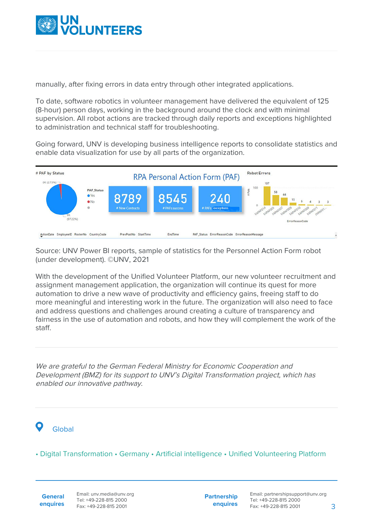

manually, after fixing errors in data entry through other integrated applications.

To date, software robotics in volunteer management have delivered the equivalent of 125 (8-hour) person days, working in the background around the clock and with minimal supervision. All robot actions are tracked through daily reports and exceptions highlighted to administration and technical staff for troubleshooting.

Going forward, UNV is developing business intelligence reports to consolidate statistics and enable data visualization for use by all parts of the organization.



Source: UNV Power BI reports, sample of statistics for the Personnel Action Form robot (under development). ©UNV, 2021

With the development of the Unified Volunteer Platform, our new volunteer recruitment and assignment management application, the organization will continue its quest for more automation to drive a new wave of productivity and efficiency gains, freeing staff to do more meaningful and interesting work in the future. The organization will also need to face and address questions and challenges around creating a culture of transparency and fairness in the use of automation and robots, and how they will complement the work of the staff.

We are grateful to the German Federal Ministry for Economic Cooperation and Development (BMZ) for its support to UNV's Digital Transformation project, which has enabled our innovative pathway.

## Global

• Digital Transformation • Germany • Artificial intelligence • Unified Volunteering Platform

**General enquires** Email: unv.media@unv.org Tel: +49-228-815 2000 Fax: +49-228-815 2001

**Partnership enquires**